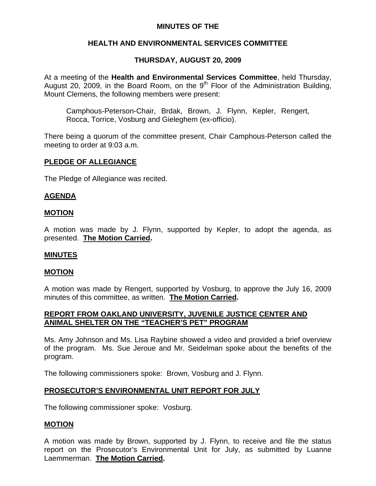## **MINUTES OF THE**

## **HEALTH AND ENVIRONMENTAL SERVICES COMMITTEE**

## **THURSDAY, AUGUST 20, 2009**

At a meeting of the **Health and Environmental Services Committee**, held Thursday, August 20, 2009, in the Board Room, on the  $9<sup>th</sup>$  Floor of the Administration Building, Mount Clemens, the following members were present:

Camphous-Peterson-Chair, Brdak, Brown, J. Flynn, Kepler, Rengert, Rocca, Torrice, Vosburg and Gieleghem (ex-officio).

There being a quorum of the committee present, Chair Camphous-Peterson called the meeting to order at 9:03 a.m.

## **PLEDGE OF ALLEGIANCE**

The Pledge of Allegiance was recited.

## **AGENDA**

#### **MOTION**

A motion was made by J. Flynn, supported by Kepler, to adopt the agenda, as presented. **The Motion Carried.** 

#### **MINUTES**

#### **MOTION**

A motion was made by Rengert, supported by Vosburg, to approve the July 16, 2009 minutes of this committee, as written. **The Motion Carried.** 

## **REPORT FROM OAKLAND UNIVERSITY, JUVENILE JUSTICE CENTER AND ANIMAL SHELTER ON THE "TEACHER'S PET" PROGRAM**

Ms. Amy Johnson and Ms. Lisa Raybine showed a video and provided a brief overview of the program. Ms. Sue Jeroue and Mr. Seidelman spoke about the benefits of the program.

The following commissioners spoke: Brown, Vosburg and J. Flynn.

## **PROSECUTOR'S ENVIRONMENTAL UNIT REPORT FOR JULY**

The following commissioner spoke: Vosburg.

## **MOTION**

A motion was made by Brown, supported by J. Flynn, to receive and file the status report on the Prosecutor's Environmental Unit for July, as submitted by Luanne Laemmerman. **The Motion Carried.**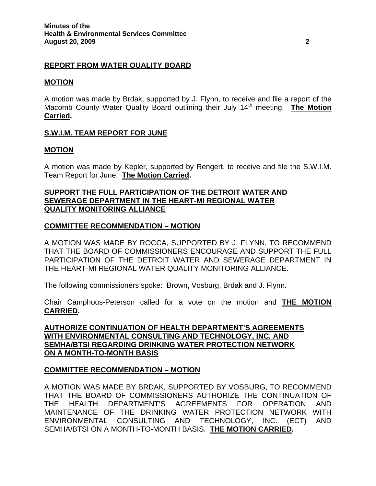## **REPORT FROM WATER QUALITY BOARD**

#### **MOTION**

A motion was made by Brdak, supported by J. Flynn, to receive and file a report of the Macomb County Water Quality Board outlining their July 14<sup>th</sup> meeting. **The Motion Carried.** 

## **S.W.I.M. TEAM REPORT FOR JUNE**

## **MOTION**

A motion was made by Kepler, supported by Rengert, to receive and file the S.W.I.M. Team Report for June. **The Motion Carried.** 

## **SUPPORT THE FULL PARTICIPATION OF THE DETROIT WATER AND SEWERAGE DEPARTMENT IN THE HEART-MI REGIONAL WATER QUALITY MONITORING ALLIANCE**

## **COMMITTEE RECOMMENDATION – MOTION**

A MOTION WAS MADE BY ROCCA, SUPPORTED BY J. FLYNN, TO RECOMMEND THAT THE BOARD OF COMMISSIONERS ENCOURAGE AND SUPPORT THE FULL PARTICIPATION OF THE DETROIT WATER AND SEWERAGE DEPARTMENT IN THE HEART-MI REGIONAL WATER QUALITY MONITORING ALLIANCE.

The following commissioners spoke: Brown, Vosburg, Brdak and J. Flynn.

Chair Camphous-Peterson called for a vote on the motion and **THE MOTION CARRIED.** 

**AUTHORIZE CONTINUATION OF HEALTH DEPARTMENT'S AGREEMENTS WITH ENVIRONMENTAL CONSULTING AND TECHNOLOGY, INC. AND SEMHA/BTSI REGARDING DRINKING WATER PROTECTION NETWORK ON A MONTH-TO-MONTH BASIS**

## **COMMITTEE RECOMMENDATION – MOTION**

A MOTION WAS MADE BY BRDAK, SUPPORTED BY VOSBURG, TO RECOMMEND THAT THE BOARD OF COMMISSIONERS AUTHORIZE THE CONTINUATION OF THE HEALTH DEPARTMENT'S AGREEMENTS FOR OPERATION AND MAINTENANCE OF THE DRINKING WATER PROTECTION NETWORK WITH ENVIRONMENTAL CONSULTING AND TECHNOLOGY, INC. (ECT) AND SEMHA/BTSI ON A MONTH-TO-MONTH BASIS. **THE MOTION CARRIED.**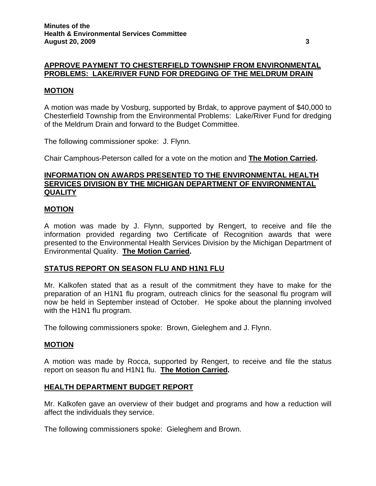# **APPROVE PAYMENT TO CHESTERFIELD TOWNSHIP FROM ENVIRONMENTAL PROBLEMS: LAKE/RIVER FUND FOR DREDGING OF THE MELDRUM DRAIN**

## **MOTION**

A motion was made by Vosburg, supported by Brdak, to approve payment of \$40,000 to Chesterfield Township from the Environmental Problems: Lake/River Fund for dredging of the Meldrum Drain and forward to the Budget Committee.

The following commissioner spoke: J. Flynn.

Chair Camphous-Peterson called for a vote on the motion and **The Motion Carried.** 

## **INFORMATION ON AWARDS PRESENTED TO THE ENVIRONMENTAL HEALTH SERVICES DIVISION BY THE MICHIGAN DEPARTMENT OF ENVIRONMENTAL QUALITY**

## **MOTION**

A motion was made by J. Flynn, supported by Rengert, to receive and file the information provided regarding two Certificate of Recognition awards that were presented to the Environmental Health Services Division by the Michigan Department of Environmental Quality. **The Motion Carried.** 

## **STATUS REPORT ON SEASON FLU AND H1N1 FLU**

Mr. Kalkofen stated that as a result of the commitment they have to make for the preparation of an H1N1 flu program, outreach clinics for the seasonal flu program will now be held in September instead of October. He spoke about the planning involved with the H1N1 flu program.

The following commissioners spoke: Brown, Gieleghem and J. Flynn.

## **MOTION**

A motion was made by Rocca, supported by Rengert, to receive and file the status report on season flu and H1N1 flu. **The Motion Carried.** 

## **HEALTH DEPARTMENT BUDGET REPORT**

Mr. Kalkofen gave an overview of their budget and programs and how a reduction will affect the individuals they service.

The following commissioners spoke: Gieleghem and Brown.